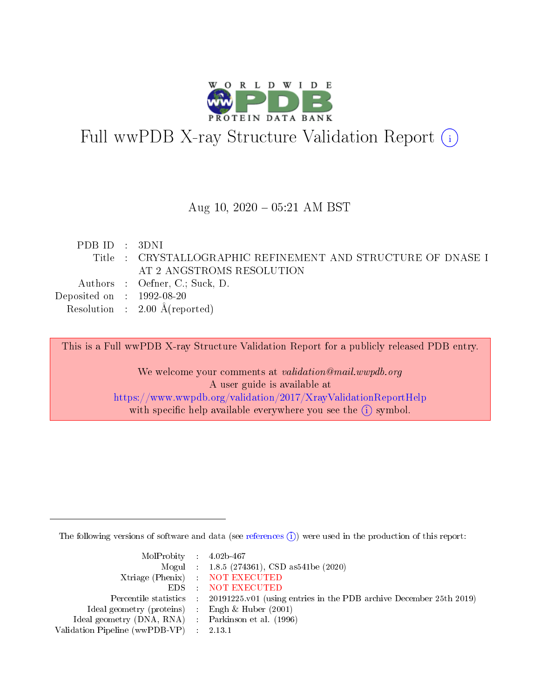

# Full wwPDB X-ray Structure Validation Report (i)

#### Aug 10,  $2020 - 05:21$  AM BST

| PDB ID : 3DNI                        |                                                              |
|--------------------------------------|--------------------------------------------------------------|
|                                      | Title : CRYSTALLOGRAPHIC REFINEMENT AND STRUCTURE OF DNASE I |
|                                      | AT 2 ANGSTROMS RESOLUTION                                    |
|                                      | Authors : Oefner, C.; Suck, D.                               |
| Deposited on $\therefore$ 1992-08-20 |                                                              |
|                                      | Resolution : $2.00 \text{ Å}$ (reported)                     |
|                                      |                                                              |

This is a Full wwPDB X-ray Structure Validation Report for a publicly released PDB entry.

We welcome your comments at validation@mail.wwpdb.org A user guide is available at <https://www.wwpdb.org/validation/2017/XrayValidationReportHelp> with specific help available everywhere you see the  $(i)$  symbol.

The following versions of software and data (see [references](https://www.wwpdb.org/validation/2017/XrayValidationReportHelp#references)  $(i)$ ) were used in the production of this report:

| $MolProbability$ 4.02b-467                          |                                                                                            |
|-----------------------------------------------------|--------------------------------------------------------------------------------------------|
|                                                     | Mogul : 1.8.5 (274361), CSD as541be (2020)                                                 |
|                                                     | Xtriage (Phenix) NOT EXECUTED                                                              |
|                                                     | EDS : NOT EXECUTED                                                                         |
|                                                     | Percentile statistics : 20191225.v01 (using entries in the PDB archive December 25th 2019) |
| Ideal geometry (proteins) : Engh $\&$ Huber (2001)  |                                                                                            |
| Ideal geometry (DNA, RNA) : Parkinson et al. (1996) |                                                                                            |
| Validation Pipeline (wwPDB-VP) : 2.13.1             |                                                                                            |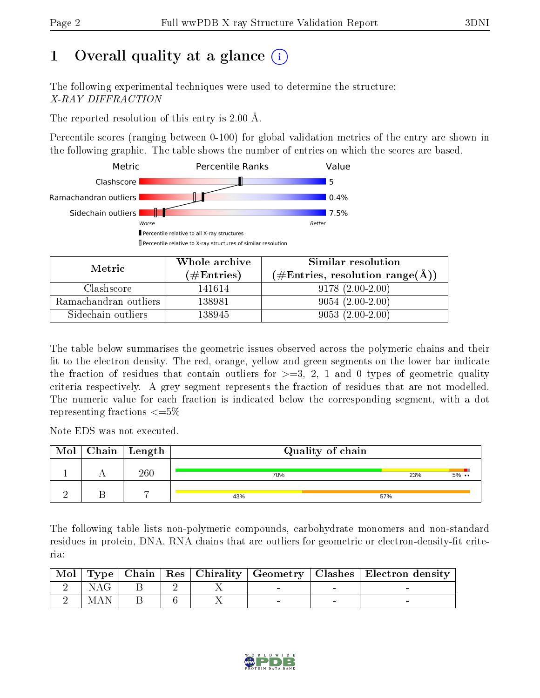# 1 [O](https://www.wwpdb.org/validation/2017/XrayValidationReportHelp#overall_quality)verall quality at a glance  $(i)$

The following experimental techniques were used to determine the structure: X-RAY DIFFRACTION

The reported resolution of this entry is 2.00 Å.

Percentile scores (ranging between 0-100) for global validation metrics of the entry are shown in the following graphic. The table shows the number of entries on which the scores are based.



| Metric                | Whole archive<br>$(\#\text{Entries})$ | Similar resolution<br>$(\#\text{Entries}, \text{resolution range}(\text{\AA})\)$ |
|-----------------------|---------------------------------------|----------------------------------------------------------------------------------|
| Clashscore            | 141614                                | $9178(2.00-2.00)$                                                                |
| Ramachandran outliers | 138981                                | $9054(2.00-2.00)$                                                                |
| Sidechain outliers    | 138945                                | $9053(2.00-2.00)$                                                                |

The table below summarises the geometric issues observed across the polymeric chains and their fit to the electron density. The red, orange, yellow and green segments on the lower bar indicate the fraction of residues that contain outliers for  $\geq=3$ , 2, 1 and 0 types of geometric quality criteria respectively. A grey segment represents the fraction of residues that are not modelled. The numeric value for each fraction is indicated below the corresponding segment, with a dot representing fractions  $\leq=5\%$ 

Note EDS was not executed.

| Mol | Chain | $\mid$ Length  | Quality of chain |     |       |  |  |
|-----|-------|----------------|------------------|-----|-------|--|--|
|     |       | 260            | 70%              | 23% | $5\%$ |  |  |
|     |       | $\overline{ }$ | 43%              | 57% |       |  |  |

The following table lists non-polymeric compounds, carbohydrate monomers and non-standard residues in protein, DNA, RNA chains that are outliers for geometric or electron-density-fit criteria:

| $\mid$ Mol $\mid$ |            |  |  | Type   Chain   Res   Chirality   Geometry   Clashes   Electron density |
|-------------------|------------|--|--|------------------------------------------------------------------------|
|                   | <b>NAG</b> |  |  |                                                                        |
|                   | MAN        |  |  |                                                                        |

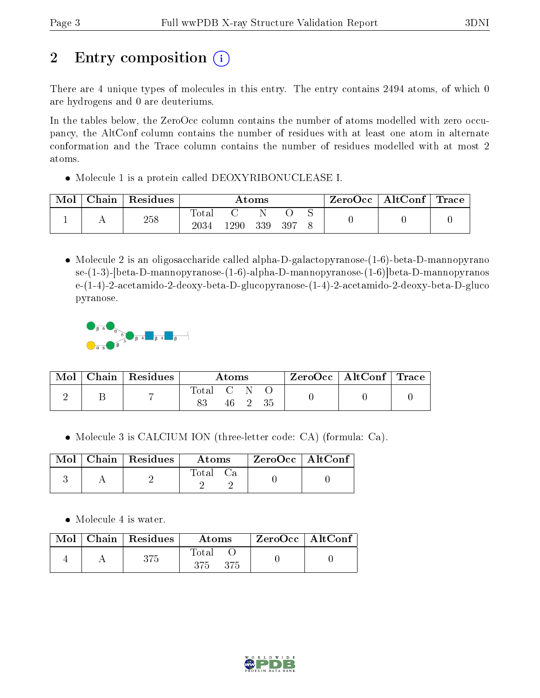# 2 Entry composition  $\left( \cdot \right)$

There are 4 unique types of molecules in this entry. The entry contains 2494 atoms, of which 0 are hydrogens and 0 are deuteriums.

In the tables below, the ZeroOcc column contains the number of atoms modelled with zero occupancy, the AltConf column contains the number of residues with at least one atom in alternate conformation and the Trace column contains the number of residues modelled with at most 2 atoms.

Molecule 1 is a protein called DEOXYRIBONUCLEASE I.

| Chain | $\perp$ Residues | Atoms                   |      |     | $\text{ZeroOcc} \mid \text{AltConf} \mid \text{Trace}$ |  |  |  |
|-------|------------------|-------------------------|------|-----|--------------------------------------------------------|--|--|--|
|       | 258              | $\rm Total$<br>$2034\,$ | .290 | 339 | 397                                                    |  |  |  |

 Molecule 2 is an oligosaccharide called alpha-D-galactopyranose-(1-6)-beta-D-mannopyrano se-(1-3)-[beta-D-mannopyranose-(1-6)-alpha-D-mannopyranose-(1-6)]beta-D-mannopyranos e-(1-4)-2-acetamido-2-deoxy-beta-D-glucopyranose-(1-4)-2-acetamido-2-deoxy-beta-D-gluco pyranose.



| Mol | Chain   Residues | Atoms     |      | $\text{ZeroOcc} \mid \text{AltConf} \mid \text{Trace}$ |  |  |
|-----|------------------|-----------|------|--------------------------------------------------------|--|--|
|     |                  | Total C N | 46 2 |                                                        |  |  |

Molecule 3 is CALCIUM ION (three-letter code: CA) (formula: Ca).

|  | $\text{Mol}$   Chain   Residues | <b>Atoms</b> | $\mid$ ZeroOcc $\mid$ AltConf $\mid$ |  |
|--|---------------------------------|--------------|--------------------------------------|--|
|  |                                 | Total Ca     |                                      |  |

• Molecule 4 is water.

|  | Mol   Chain   Residues | Atoms                 | $\mid$ ZeroOcc $\mid$ AltConf $\mid$ |  |
|--|------------------------|-----------------------|--------------------------------------|--|
|  | 375                    | Total<br>- 375<br>375 |                                      |  |

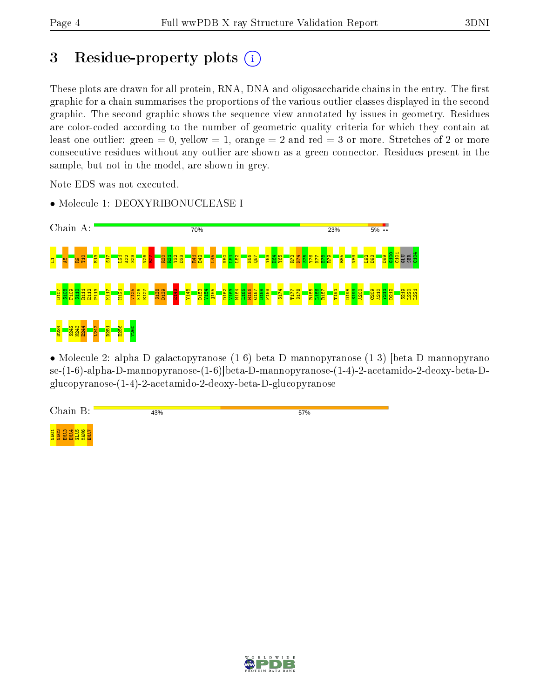# 3 Residue-property plots  $(i)$

These plots are drawn for all protein, RNA, DNA and oligosaccharide chains in the entry. The first graphic for a chain summarises the proportions of the various outlier classes displayed in the second graphic. The second graphic shows the sequence view annotated by issues in geometry. Residues are color-coded according to the number of geometric quality criteria for which they contain at least one outlier: green  $= 0$ , yellow  $= 1$ , orange  $= 2$  and red  $= 3$  or more. Stretches of 2 or more consecutive residues without any outlier are shown as a green connector. Residues present in the sample, but not in the model, are shown in grey.

Note EDS was not executed.



• Molecule 1: DEOXYRIBONUCLEASE I

• Molecule 2: alpha-D-galactopyranose-(1-6)-beta-D-mannopyranose-(1-3)-[beta-D-mannopyrano se-(1-6)-alpha-D-mannopyranose-(1-6)]beta-D-mannopyranose-(1-4)-2-acetamido-2-deoxy-beta-Dglucopyranose-(1-4)-2-acetamido-2-deoxy-beta-D-glucopyranose



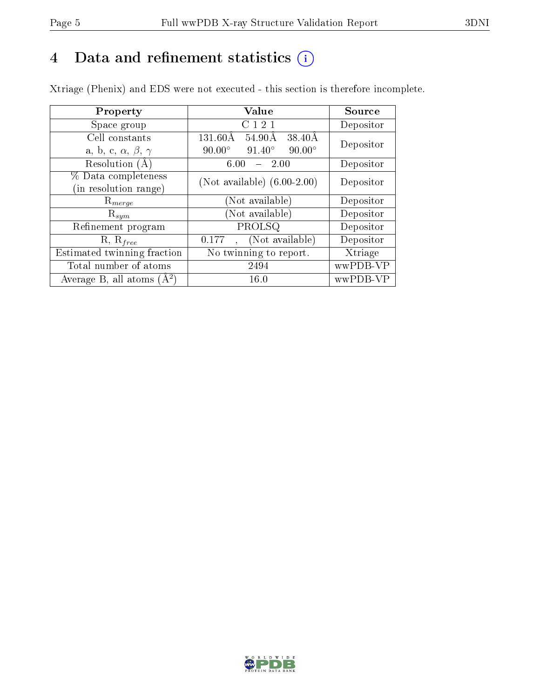# 4 Data and refinement statistics  $(i)$

Xtriage (Phenix) and EDS were not executed - this section is therefore incomplete.

| Property                               | Value                                                        | Source    |  |
|----------------------------------------|--------------------------------------------------------------|-----------|--|
| Space group                            | C 1 2 1                                                      | Depositor |  |
| Cell constants                         | $54.90\text{\AA}$<br>$38.40\text{\AA}$<br>$131.60\text{\AA}$ | Depositor |  |
| a, b, c, $\alpha$ , $\beta$ , $\gamma$ | $91.40^{\circ}$<br>$90.00^\circ$<br>$90.00^\circ$            |           |  |
| Resolution (A)                         | 2.00<br>6.00                                                 | Depositor |  |
| % Data completeness                    | (Not available) $(6.00-2.00)$                                | Depositor |  |
| (in resolution range)                  |                                                              |           |  |
| $R_{merge}$                            | (Not available)                                              | Depositor |  |
| $\mathrm{R}_{sym}$                     | (Not available)                                              | Depositor |  |
| Refinement program                     | PROLSQ                                                       | Depositor |  |
| $R, R_{free}$                          | (Not available)<br>0.177                                     | Depositor |  |
| Estimated twinning fraction            | $\overline{\text{No}}$ twinning to report.                   | Xtriage   |  |
| Total number of atoms                  | 2494                                                         | wwPDB-VP  |  |
| Average B, all atoms $(A^2)$           | 16.0                                                         | wwPDB-VP  |  |

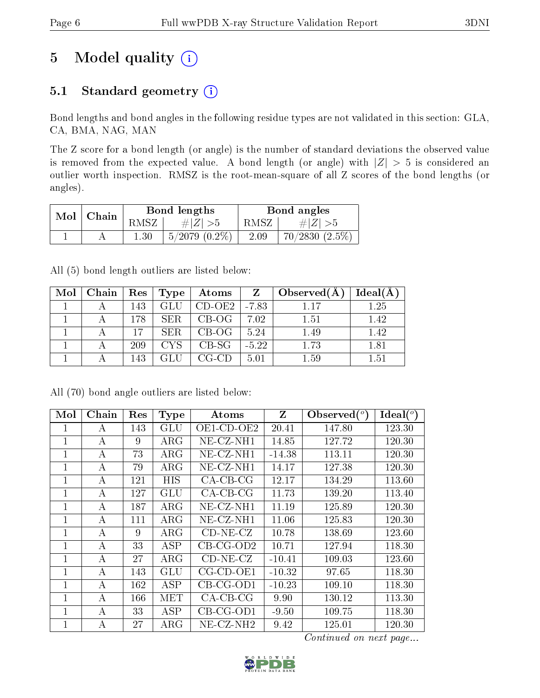# 5 Model quality  $(i)$

## 5.1 Standard geometry  $(i)$

Bond lengths and bond angles in the following residue types are not validated in this section: GLA, CA, BMA, NAG, MAN

The Z score for a bond length (or angle) is the number of standard deviations the observed value is removed from the expected value. A bond length (or angle) with  $|Z| > 5$  is considered an outlier worth inspection. RMSZ is the root-mean-square of all Z scores of the bond lengths (or angles).

| Mol | Chain |          | Bond lengths       | Bond angles |                  |  |
|-----|-------|----------|--------------------|-------------|------------------|--|
|     |       | RMSZ-    | # Z  > 5           | RMSZ        | $\# Z  > 5$      |  |
|     |       | $1.30\,$ | $5/2079$ $(0.2\%)$ | 2.09        | $70/2830(2.5\%)$ |  |

All (5) bond length outliers are listed below:

| Mol | Chain | , $\mathrm{Res}^{-1}$ | Type       | Atoms              | Z       | Observed $(A)$ | Ideal(A) |
|-----|-------|-----------------------|------------|--------------------|---------|----------------|----------|
|     |       | 143                   | <b>GLU</b> | $CD-OE2$   $-7.83$ |         | 117            | 1.25     |
|     |       | 178                   | SER.       | $CB-OG$            | 7.02    | 1.51           | 1.42     |
|     |       | 17                    | SER.       | $CB-OG$            | 5.24    | 1.49           | 1.42     |
|     |       | 209                   | <b>CYS</b> | $CB-SG$            | $-5.22$ | 1.73           | 1.81     |
|     |       | 143                   |            | CG-CD-             | 5.01    | $1.59\,$       | $1.51\,$ |

| Mol          | Chain    | Res | <b>Type</b> | Atoms               | Z        | Observed $\binom{o}{c}$ | Ideal $(^\circ)$ |
|--------------|----------|-----|-------------|---------------------|----------|-------------------------|------------------|
| 1            | А        | 143 | GLU         | OE1-CD-OE2          | 20.41    | 147.80                  | 123.30           |
| 1            | А        | 9   | $\rm{ARG}$  | NE-CZ-NH1           | 14.85    | 127.72                  | 120.30           |
| 1            | A        | 73  | ARG         | $NE-CZ-NH1$         | $-14.38$ | 113.11                  | 120.30           |
| 1            | А        | 79  | $\rm{ARG}$  | $NE- CZ-NH1$        | 14.17    | 127.38                  | 120.30           |
| 1            | A        | 121 | <b>HIS</b>  | $CA-CB-CG$          | 12.17    | 134.29                  | 113.60           |
| 1            | А        | 127 | GLU         | $CA-CB-CG$          | 11.73    | 139.20                  | 113.40           |
| 1            | А        | 187 | $\rm{ARG}$  | $NE- CZ-NH1$        | 11.19    | 125.89                  | 120.30           |
| $\mathbf{1}$ | А        | 111 | $\rm{ARG}$  | $NE-CZ-NH1$         | 11.06    | 125.83                  | 120.30           |
| 1            | A        | 9   | $\rm{ARG}$  | $CD-NE- CZ$         | 10.78    | 138.69                  | 123.60           |
| 1            | A        | 33  | <b>ASP</b>  | $CB-CG-OD2$         | 10.71    | 127.94                  | 118.30           |
| $\mathbf{1}$ | $\bf{A}$ | 27  | $\rm{ARG}$  | $CD-NE- CZ$         | $-10.41$ | 109.03                  | 123.60           |
| 1            | А        | 143 | GLU         | $CG$ - $CD$ - $OE1$ | $-10.32$ | 97.65                   | 118.30           |
| 1            | А        | 162 | ASP         | $CB-CG-OD1$         | $-10.23$ | 109.10                  | 118.30           |
| 1            | А        | 166 | MET         | $CA-CB-CG$          | 9.90     | 130.12                  | 113.30           |
| 1            | A        | 33  | ASP         | $CB-CG-OD1$         | $-9.50$  | 109.75                  | 118.30           |
| 1            | А        | 27  | $\rm{ARG}$  | NE-CZ-NH2           | 9.42     | 125.01                  | 120.30           |

All (70) bond angle outliers are listed below:

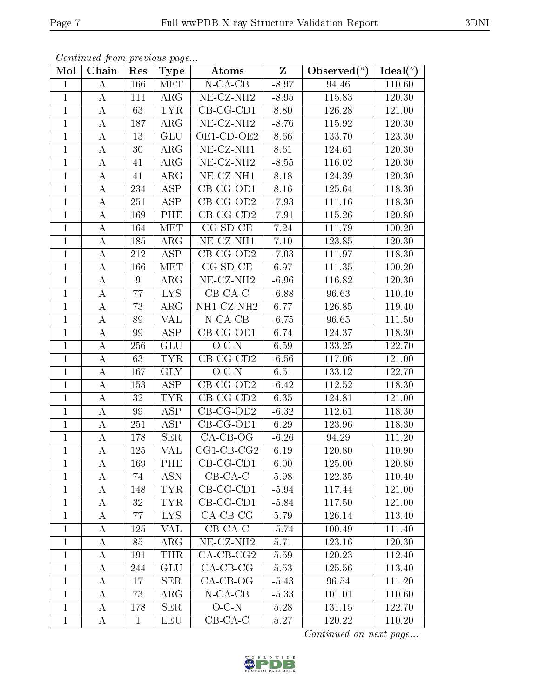|                | Continued from previous page |              |                  |                                            |                         |                                             |                                             |
|----------------|------------------------------|--------------|------------------|--------------------------------------------|-------------------------|---------------------------------------------|---------------------------------------------|
| Mol            | Chain                        | Res          | <b>Type</b>      | Atoms                                      | $\overline{\mathrm{Z}}$ | Observed $\left(\overline{^{\circ}}\right)$ | Ideal $\left(\overline{\phantom{a}}\right)$ |
| $\mathbf{1}$   | A                            | 166          | <b>MET</b>       | $N$ -CA-CB                                 | $-8.97$                 | 94.46                                       | 110.60                                      |
| $\mathbf{1}$   | А                            | 111          | $\rm{ARG}$       | $NE- CZ-NH2$                               | $-8.95$                 | 115.83                                      | 120.30                                      |
| $\mathbf{1}$   | А                            | 63           | <b>TYR</b>       | $CB-CG-CD1$                                | 8.80                    | 126.28                                      | 121.00                                      |
| $\mathbf{1}$   | А                            | 187          | $\rm{ARG}$       | $NE- CZ-NH2$                               | $-8.76$                 | 115.92                                      | 120.30                                      |
| $\mathbf{1}$   | А                            | 13           | <b>GLU</b>       | OE1-CD-OE2                                 | 8.66                    | 133.70                                      | 123.30                                      |
| $\mathbf{1}$   | A                            | 30           | $\rm{ARG}$       | NE-CZ-NH1                                  | 8.61                    | 124.61                                      | 120.30                                      |
| $\mathbf{1}$   | Α                            | 41           | $\rm{ARG}$       | $\overline{\text{NE}}$ -CZ-NH <sub>2</sub> | $-8.55$                 | 116.02                                      | 120.30                                      |
| $\mathbf{1}$   | А                            | 41           | $\rm{ARG}$       | $NE$ - $CZ$ -NH1                           | 8.18                    | 124.39                                      | 120.30                                      |
| $\mathbf{1}$   | A                            | 234          | <b>ASP</b>       | $CB-CG-OD1$                                | 8.16                    | 125.64                                      | 118.30                                      |
| $\mathbf{1}$   | A                            | 251          | <b>ASP</b>       | $CB-CG-OD2$                                | $-7.93$                 | 111.16                                      | 118.30                                      |
| $\mathbf{1}$   | А                            | 169          | <b>PHE</b>       | $CB-CG-CD2$                                | $-7.91$                 | 115.26                                      | 120.80                                      |
| $\mathbf{1}$   | А                            | 164          | <b>MET</b>       | $CG-SD-CE$                                 | 7.24                    | 111.79                                      | 100.20                                      |
| $\mathbf{1}$   | $\boldsymbol{A}$             | 185          | $\rm{ARG}$       | NE-CZ-NH1                                  | 7.10                    | 123.85                                      | 120.30                                      |
| $\mathbf{1}$   | $\bf{A}$                     | 212          | <b>ASP</b>       | $CB-CG-OD2$                                | $-7.03$                 | 111.97                                      | 118.30                                      |
| $\mathbf{1}$   | А                            | 166          | MET              | $CG-SD-CE$                                 | 6.97                    | 111.35                                      | 100.20                                      |
| $\mathbf{1}$   | А                            | 9            | $\rm{ARG}$       | $NE- CZ-NH2$                               | $-6.96$                 | 116.82                                      | 120.30                                      |
| $\overline{1}$ | $\boldsymbol{A}$             | 77           | <b>LYS</b>       | $CB-CA-C$                                  | $-6.88$                 | 96.63                                       | 110.40                                      |
| $\mathbf{1}$   | $\bf{A}$                     | 73           | $\rm{ARG}$       | NH1-CZ-NH2                                 | 6.77                    | 126.85                                      | 119.40                                      |
| $\mathbf{1}$   | А                            | 89           | <b>VAL</b>       | $N$ -CA-CB                                 | $-6.75$                 | 96.65                                       | 111.50                                      |
| $\mathbf{1}$   | А                            | 99           | <b>ASP</b>       | $CB-CG-OD1$                                | 6.74                    | 124.37                                      | 118.30                                      |
| $\mathbf{1}$   | А                            | 256          | <b>GLU</b>       | $O-C-N$                                    | 6.59                    | 133.25                                      | 122.70                                      |
| $\mathbf{1}$   | $\boldsymbol{A}$             | 63           | <b>TYR</b>       | $CB-CG-CD2$                                | $-6.56$                 | 117.06                                      | 121.00                                      |
| $\mathbf{1}$   | А                            | 167          | <b>GLY</b>       | $O-C-N$                                    | 6.51                    | 133.12                                      | 122.70                                      |
| $\mathbf{1}$   | А                            | 153          | <b>ASP</b>       | $CB-CG-OD2$                                | $-6.42$                 | 112.52                                      | 118.30                                      |
| $\mathbf{1}$   | А                            | 32           | <b>TYR</b>       | $CB-CG-CD2$                                | 6.35                    | 124.81                                      | 121.00                                      |
| $\mathbf{1}$   | Α                            | 99           | ASP              | $CB-CG-OD2$                                | $-6.32$                 | 112.61                                      | 118.30                                      |
| $\mathbf{1}$   | A                            | 251          | ASP              | $CB-CG-OD1$                                | 6.29                    | 123.96                                      | 118.30                                      |
| $\mathbf{1}$   | A                            | 178          | <b>SER</b>       | $CA-CB-OG$                                 | $-6.26$                 | 94.29                                       | 111.20                                      |
| $\mathbf 1$    | $\mathbf{A}$                 | 125          | VAL              | $CG1-CB-CG2$                               | 6.19                    | 120.80                                      | 110.90                                      |
| $\mathbf{1}$   | A                            | 169          | PHE              | $CB-CG-CD1$                                | 6.00                    | 125.00                                      | 120.80                                      |
| $\mathbf{1}$   | A                            | 74           | <b>ASN</b>       | $CB-CA-C$                                  | 5.98                    | 122.35                                      | 110.40                                      |
| $\mathbf{1}$   | A                            | 148          | <b>TYR</b>       | $CB-CG-CD1$                                | $-5.94$                 | 117.44                                      | 121.00                                      |
| $\mathbf{1}$   | A                            | 32           | <b>TYR</b>       | $CB-CG-CD1$                                | $-5.84$                 | 117.50                                      | 121.00                                      |
| $\mathbf{1}$   | A                            | 77           | LYS <sub>1</sub> | $CA-CB-CG$                                 | 5.79                    | 126.14                                      | 113.40                                      |
| $\mathbf{1}$   | A                            | 125          | VAL              | $CB-CA-C$                                  | $-5.74$                 | 100.49                                      | 111.40                                      |
| $\mathbf{1}$   | А                            | 85           | ARG              | $NE$ -CZ-NH <sub>2</sub>                   | 5.71                    | 123.16                                      | 120.30                                      |
| $\mathbf{1}$   | A                            | 191          | <b>THR</b>       | $CA-CB-CG2$                                | 5.59                    | 120.23                                      | 112.40                                      |
| $\mathbf{1}$   | A                            | 244          | <b>GLU</b>       | $CA$ -CB-CG                                | 5.53                    | 125.56                                      | 113.40                                      |
| $\mathbf{1}$   | A                            | 17           | <b>SER</b>       | $CA-CB-OG$                                 | $-5.43$                 | 96.54                                       | 111.20                                      |
| $\mathbf{1}$   | $\bf{A}$                     | 73           | $\rm{ARG}$       | $N$ -CA-CB                                 | $-5.33$                 | 101.01                                      | 110.60                                      |
| $\mathbf{1}$   | $\bf{A}$                     | 178          | <b>SER</b>       | $O-C-N$                                    | 5.28                    | 131.15                                      | 122.70                                      |
| $\mathbf{1}$   | A                            | $\mathbf{1}$ | <b>LEU</b>       | $CB-CA-C$                                  | 5.27                    | 120.22                                      | 110.20                                      |

Continued from previous page...

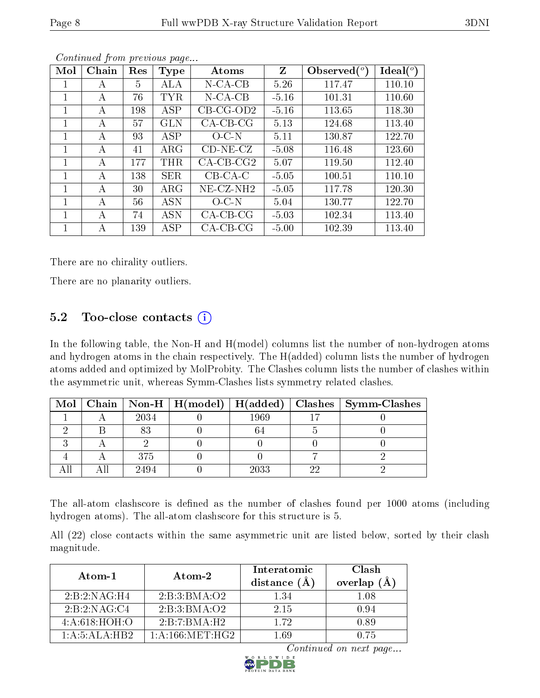| Mol | Chain | Res | <b>Type</b> | Atoms       | Z       | Observed $\binom{o}{c}$ | Ideal $(^\circ)$ |
|-----|-------|-----|-------------|-------------|---------|-------------------------|------------------|
|     | А     | 5   | ALA         | $N$ -CA-CB  | 5.26    | 117.47                  | 110.10           |
| 1   | А     | 76  | TYR         | $N$ -CA-CB  | $-5.16$ | 101.31                  | 110.60           |
| 1   | A     | 198 | ASP         | $CB-CG-OD2$ | $-5.16$ | 113.65                  | 118.30           |
| 1   | A     | 57  | GLN         | $CA-CB-CG$  | 5.13    | 124.68                  | 113.40           |
| 1   | A     | 93  | ASP         | $O-C-N$     | 5.11    | 130.87                  | 122.70           |
|     | A     | 41  | $\rm{ARG}$  | $CD-NE- CZ$ | $-5.08$ | 116.48                  | 123.60           |
| 1   | A     | 177 | THR         | $CA-CB-CG2$ | 5.07    | 119.50                  | 112.40           |
| 1   | A     | 138 | SER.        | $CB-CA-C$   | $-5.05$ | 100.51                  | 110.10           |
| 1   | A     | 30  | ${\rm ARG}$ | $NE-CZ-NH2$ | $-5.05$ | 117.78                  | 120.30           |
|     | А     | 56  | <b>ASN</b>  | $O$ C-N     | 5.04    | 130.77                  | 122.70           |
| 1   | А     | 74  | <b>ASN</b>  | $CA-CB-CG$  | $-5.03$ | 102.34                  | 113.40           |
|     | А     | 139 | ASP         | $CA-CB-CG$  | $-5.00$ | 102.39                  | 113.40           |

Continued from previous page...

There are no chirality outliers.

There are no planarity outliers.

### $5.2$  Too-close contacts  $(i)$

In the following table, the Non-H and H(model) columns list the number of non-hydrogen atoms and hydrogen atoms in the chain respectively. The H(added) column lists the number of hydrogen atoms added and optimized by MolProbity. The Clashes column lists the number of clashes within the asymmetric unit, whereas Symm-Clashes lists symmetry related clashes.

| Mol |      | Chain   Non-H   $H(model)$   $H(added)$ |      |     | Clashes   Symm-Clashes |
|-----|------|-----------------------------------------|------|-----|------------------------|
|     | 2034 |                                         | 1969 |     |                        |
|     |      |                                         |      |     |                        |
|     |      |                                         |      |     |                        |
|     | 375  |                                         |      |     |                        |
|     | 2494 |                                         | 2033 | ົດເ |                        |

The all-atom clashscore is defined as the number of clashes found per 1000 atoms (including hydrogen atoms). The all-atom clashscore for this structure is 5.

All (22) close contacts within the same asymmetric unit are listed below, sorted by their clash magnitude.

| Atom-1                                     | Atom-2            | Interatomic<br>distance | Clash<br>overlap<br>(A) |
|--------------------------------------------|-------------------|-------------------------|-------------------------|
| 2:B:2:NAG:H4                               | 2:B:3:BMA:O2      | 1.34                    | 1.08                    |
| 2:B:2:NAG:C4                               | 2:B:3:BMA:O2      | 2 15                    | 0.94                    |
| 4: A:618:HOH:O                             | 2:B:7:BMA:H2      | 172                     | 0.89                    |
| $1 \cdot A \cdot 5 \cdot A I A \cdot H B2$ | 1: A:166: MET:HG2 | 1 69                    | O 75                    |

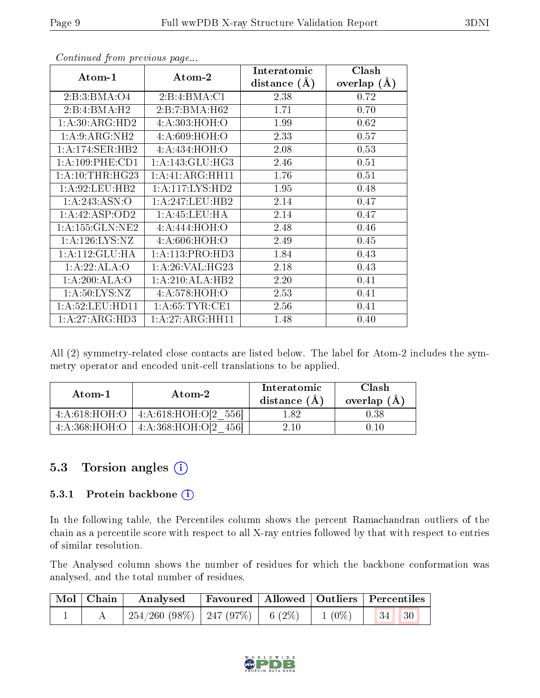| Atom-1             | $\boldsymbol{\mathrm{Atom}\text{-}2}$ | Interatomic    | Clash         |  |
|--------------------|---------------------------------------|----------------|---------------|--|
|                    |                                       | distance $(A)$ | overlap $(A)$ |  |
| 2:B:3:BMA:O4       | 2:B:4:BMA:Cl                          | 2.38           | 0.72          |  |
| 2:B:4:BMA:H2       | 2:B:7:BMA:H62                         | 1.71           | 0.70          |  |
| 1: A:30: ARG:HD2   | 4:A:303:HOH:O                         | 1.99           | 0.62          |  |
| 1: A:9: ARG: NH2   | 4: A:609: HOH: O                      | 2.33           | 0.57          |  |
| 1:A:174:SER:HB2    | 4: A:434: HOH: O                      | 2.08           | 0.53          |  |
| 1: A:109: PHE:CD1  | 1: A:143: GLU:HG3                     | 2.46           | 0.51          |  |
| 1: A:10:THR:HG23   | 1: A: 41: ARG: HH11                   | 1.76           | 0.51          |  |
| 1: A:92:LEU:HB2    | 1: A: 117: LYS: HD2                   | 1.95           | 0.48          |  |
| 1:A:243:ASN:O      | 1:A:247:LEU:HB2                       | 2.14           | 0.47          |  |
| 1:A:42:ASP:OD2     | 1: A: 45: LEU: HA                     | 2.14           | 0.47          |  |
| 1:A:155:GLN:NE2    | 4: A:444: HOH: O                      | 2.48           | 0.46          |  |
| 1: A: 126: LYS: NZ | 4:A:606:HOH:O                         | 2.49           | 0.45          |  |
| 1:A:112:GLU:HA     | 1: A:113: PRO:HD3                     | 1.84           | 0.43          |  |
| 1:A:22:ALA:O       | 1: A:26: VAL:HG23                     | 2.18           | 0.43          |  |
| 1:A:200:ALA:O      | 1:A:210:ALA:HB2                       | 2.20           | 0.41          |  |
| 1: A:50: LYS: NZ   | 4: A:578: HOH:O                       | 2.53           | 0.41          |  |
| 1: A:52:LEU:HD11   | 1: A:65:TYR:CE1                       | 2.56           | 0.41          |  |
| 1: A:27: ARG:HD3   | 1: A:27: ARG: HH11                    | 1.48           | 0.40          |  |

Continued from previous page...

All (2) symmetry-related close contacts are listed below. The label for Atom-2 includes the symmetry operator and encoded unit-cell translations to be applied.

| Atom-1        | Atom-2                               | Interatomic<br>distance $(A)$ | Clash<br>overlap $(A)$ |
|---------------|--------------------------------------|-------------------------------|------------------------|
| 4:A:618:HOH:O | $4:A:618:HOH:O[2 556]$               | 1.82                          | 0.38                   |
|               | $4:A:368:HOH:O$   $4:A:368:HOH:O[2]$ | 2.10                          |                        |

### 5.3 Torsion angles  $(i)$

#### 5.3.1 Protein backbone (i)

In the following table, the Percentiles column shows the percent Ramachandran outliers of the chain as a percentile score with respect to all X-ray entries followed by that with respect to entries of similar resolution.

The Analysed column shows the number of residues for which the backbone conformation was analysed, and the total number of residues.

| Mol   Chain | $\boldsymbol{\mathrm{Analysed}}$        | <b>Favoured</b> Allowed Outliers Percentiles |          |                                                                |  |
|-------------|-----------------------------------------|----------------------------------------------|----------|----------------------------------------------------------------|--|
|             | $254/260$ (98\%)   247 (97\%)   6 (2\%) |                                              | $1(0\%)$ | $\begin{array}{ c c c c c } \hline 34 & 30 \hline \end{array}$ |  |

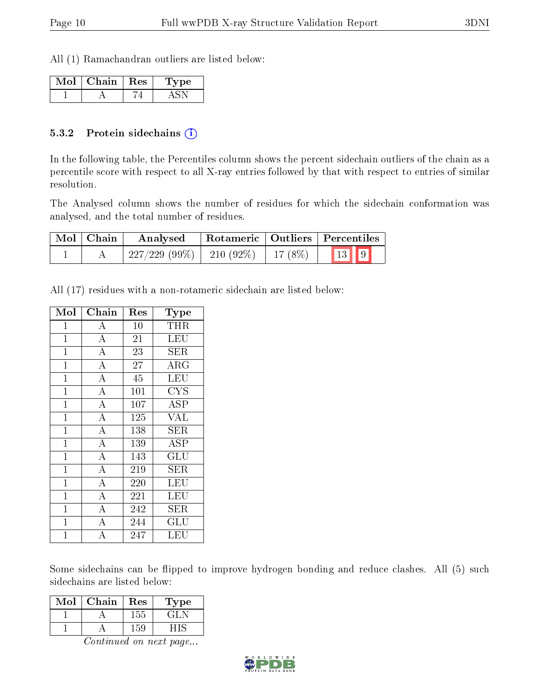All (1) Ramachandran outliers are listed below:

| Chain | Res | 'pe |
|-------|-----|-----|
|       |     |     |

#### 5.3.2 Protein sidechains  $(i)$

In the following table, the Percentiles column shows the percent sidechain outliers of the chain as a percentile score with respect to all X-ray entries followed by that with respect to entries of similar resolution.

The Analysed column shows the number of residues for which the sidechain conformation was analysed, and the total number of residues.

| $\mid$ Mol $\mid$ Chain | Analysed                      |           | Rotameric   Outliers   Percentiles                    |
|-------------------------|-------------------------------|-----------|-------------------------------------------------------|
|                         | $227/229$ (99\%)   210 (92\%) | 17 $(8%)$ | $\begin{array}{ c c c }\n\hline\n13 & 9\n\end{array}$ |

All (17) residues with a non-rotameric sidechain are listed below:

| Mol            | Chain              | Res             | Type                      |
|----------------|--------------------|-----------------|---------------------------|
| $\mathbf{1}$   | $\bf{A}$           | 10              | THR                       |
| $\mathbf{1}$   | $\overline{A}$     | 21              | LEU                       |
| $\mathbf{1}$   | $\overline{A}$     | 23              | SER                       |
| $\mathbf{1}$   | $\overline{A}$     | $\overline{27}$ | ARG                       |
| $\mathbf 1$    | $\overline{\rm A}$ | 45              | <b>LEU</b>                |
| $\mathbf{1}$   | $\overline{\rm A}$ | 101             | <b>CYS</b>                |
| $\mathbf{1}$   | $\overline{\rm A}$ | 107             | ASP                       |
| $\mathbf{1}$   | $\overline{A}$     | 125             | <b>VAL</b>                |
| $\mathbf{1}$   | $\overline{A}$     | 138             | SER                       |
| $\mathbf{1}$   | $\overline{\rm A}$ | 139             | ASP                       |
| $\mathbf{1}$   | $\overline{\rm A}$ | 143             | $\overline{\mathrm{GLU}}$ |
| $\mathbf{1}$   | $\overline{A}$     | 219             | <b>SER</b>                |
| $\overline{1}$ | $\overline{\rm A}$ | 220             | $\overline{\text{LEU}}$   |
| $\mathbf{1}$   | $\overline{A}$     | 221             | LEU                       |
| $\mathbf{1}$   | $\overline{\rm A}$ | 242             | ${\rm SER}$               |
| $\mathbf{1}$   | $\overline{\rm A}$ | 244             | $\operatorname{GLU}$      |
| 1              | А                  | 247             | LEU                       |

Some sidechains can be flipped to improve hydrogen bonding and reduce clashes. All (5) such sidechains are listed below:

| Mol | Chain | $\operatorname{Res}$ | Type  |
|-----|-------|----------------------|-------|
|     |       | 155                  | E H   |
|     |       | 159                  | 7 I C |

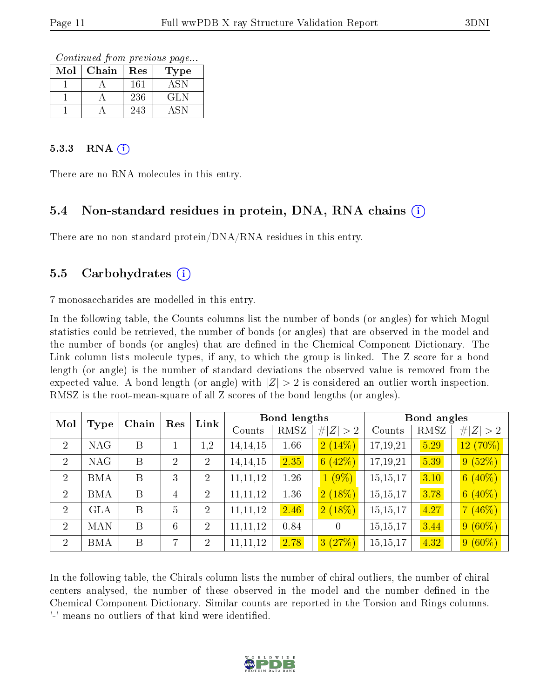Continued from previous page...

| Mol | Chain | Res | Type |
|-----|-------|-----|------|
|     |       | 161 | A SN |
|     |       | 236 | GLN  |
|     |       | 243 |      |

#### $5.3.3$  RNA (i)

There are no RNA molecules in this entry.

### 5.4 Non-standard residues in protein, DNA, RNA chains (i)

There are no non-standard protein/DNA/RNA residues in this entry.

#### 5.5 Carbohydrates (i)

7 monosaccharides are modelled in this entry.

In the following table, the Counts columns list the number of bonds (or angles) for which Mogul statistics could be retrieved, the number of bonds (or angles) that are observed in the model and the number of bonds (or angles) that are defined in the Chemical Component Dictionary. The Link column lists molecule types, if any, to which the group is linked. The Z score for a bond length (or angle) is the number of standard deviations the observed value is removed from the expected value. A bond length (or angle) with  $|Z| > 2$  is considered an outlier worth inspection. RMSZ is the root-mean-square of all Z scores of the bond lengths (or angles).

| Mol            |            | Chain | Res            | Link           |            | Bond lengths |                |          | Bond angles |             |
|----------------|------------|-------|----------------|----------------|------------|--------------|----------------|----------|-------------|-------------|
|                | Type       |       |                |                | Counts     | RMSZ         | # $ Z  > 2$    | Counts   | RMSZ        | Z  > 2<br># |
| $\overline{2}$ | <b>NAG</b> | B     |                | 1,2            | 14, 14, 15 | 1.66         | 2(14%)         | 17,19,21 | 5.29        | $12(70\%)$  |
| $\overline{2}$ | <b>NAG</b> | B     | $\overline{2}$ | $\overline{2}$ | 14, 14, 15 | 2.35         | 6(42%)         | 17,19,21 | 5.39        | 9(52%)      |
| 2              | <b>BMA</b> | B     | 3              | $\overline{2}$ | 11, 11, 12 | 1.26         | $1(9\%)$       | 15,15,17 | 3.10        | $6(40\%)$   |
| $\overline{2}$ | <b>BMA</b> | B     | 4              | $\overline{2}$ | 11, 11, 12 | 1.36         | $2(18\%)$      | 15,15,17 | 3.78        | $6(40\%)$   |
| $\overline{2}$ | <b>GLA</b> | B     | $\overline{5}$ | $\overline{2}$ | 11, 11, 12 | 2.46         | $2(18\%)$      | 15,15,17 | 4.27        | 7(46%)      |
| 2              | <b>MAN</b> | B     | 6              | $\overline{2}$ | 11, 11, 12 | 0.84         | $\overline{0}$ | 15,15,17 | 3.44        | $9(60\%)$   |
| 2              | <b>BMA</b> | B     | 7              | $\overline{2}$ | 11, 11, 12 | 2.78         | 3(27%)         | 15,15,17 | 4.32        | $9(60\%)$   |

In the following table, the Chirals column lists the number of chiral outliers, the number of chiral centers analysed, the number of these observed in the model and the number defined in the Chemical Component Dictionary. Similar counts are reported in the Torsion and Rings columns. '-' means no outliers of that kind were identified.

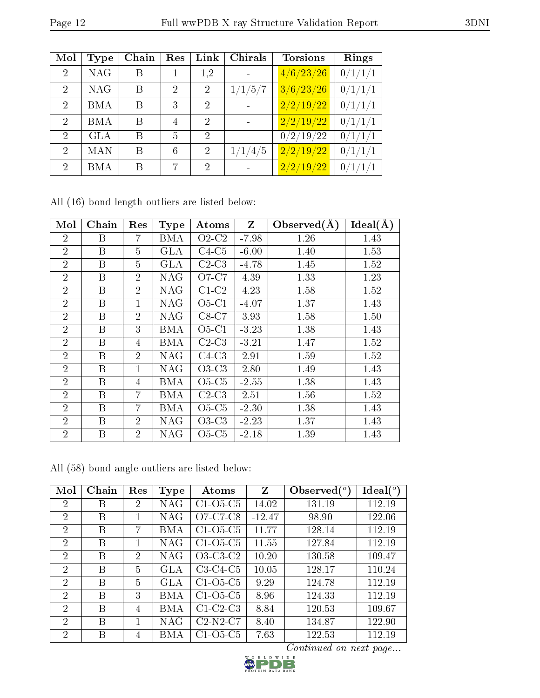| Mol                         | Type       | Chain | Res            | Link           | Chirals | <b>Torsions</b>     | Rings   |
|-----------------------------|------------|-------|----------------|----------------|---------|---------------------|---------|
| $\overline{2}$              | <b>NAG</b> | Β     |                | 1,2            |         | 4/6/23/26           | 0/1/1/1 |
| $\mathcal{D}_{\mathcal{A}}$ | <b>NAG</b> | B     | $\overline{2}$ | $\overline{2}$ | 1/1/5/7 | 3/6/23/26           | 0/1/1/1 |
| $\mathcal{D}_{\mathcal{L}}$ | <b>BMA</b> | B     | 3              | 2              |         | 2/2/19/22           | 0/1/1/1 |
| $\mathcal{D}$               | BMA        | Β     | 4              | 2              |         | $\sqrt{2/2/19/22}$  | 0/1/1/1 |
| $\overline{2}$              | <b>GLA</b> | Β     | 5              | $\overline{2}$ |         | 0/2/19/22           | 0/1/1/1 |
| $\mathcal{D}$               | MAN        | Β     | 6              | $\mathfrak{D}$ | 1/1/4/5 | 2/2/19/22           | 0/1/1/1 |
| $\overline{2}$              | <b>BMA</b> | В     | 7              | $\overline{2}$ |         | $\frac{2/2}{19/22}$ | 0/1/1/1 |

|  |  |  |  | All (16) bond length outliers are listed below: |  |  |  |
|--|--|--|--|-------------------------------------------------|--|--|--|
|--|--|--|--|-------------------------------------------------|--|--|--|

| Mol            | Chain | Res            | <b>Type</b> | Atoms   | Z       | Observed $(A)$ | Ideal(A) |
|----------------|-------|----------------|-------------|---------|---------|----------------|----------|
| $\overline{2}$ | Β     | 7              | BMA         | $O2-C2$ | $-7.98$ | 1.26           | 1.43     |
| $\overline{2}$ | B     | $\overline{5}$ | <b>GLA</b>  | $C4-C5$ | $-6.00$ | 1.40           | 1.53     |
| $\overline{2}$ | Β     | 5              | GLA         | $C2-C3$ | $-4.78$ | 1.45           | 1.52     |
| $\overline{2}$ | B     | $\overline{2}$ | <b>NAG</b>  | O7-C7   | 4.39    | 1.33           | 1.23     |
| $\overline{2}$ | Β     | $\overline{2}$ | NAG         | $C1-C2$ | 4.23    | 1.58           | 1.52     |
| $\overline{2}$ | Β     | $\mathbf{1}$   | NAG         | $O5-C1$ | $-4.07$ | 1.37           | 1.43     |
| $\overline{2}$ | B     | $\overline{2}$ | NAG         | $C8-C7$ | 3.93    | 1.58           | 1.50     |
| $\overline{2}$ | Β     | 3              | BMA         | $O5-C1$ | $-3.23$ | 1.38           | 1.43     |
| $\overline{2}$ | B     | 4              | BMA         | $C2-C3$ | $-3.21$ | 1.47           | 1.52     |
| $\overline{2}$ | B     | $\overline{2}$ | <b>NAG</b>  | $C4-C3$ | 2.91    | 1.59           | 1.52     |
| $\overline{2}$ | B     | $\mathbf{1}$   | NAG         | $O3-C3$ | 2.80    | 1.49           | 1.43     |
| $\overline{2}$ | Β     | 4              | BMA         | $O5-C5$ | $-2.55$ | 1.38           | 1.43     |
| $\overline{2}$ | B     | 7              | BMA         | $C2-C3$ | 2.51    | 1.56           | 1.52     |
| $\overline{2}$ | Β     | 7              | <b>BMA</b>  | $O5-C5$ | $-2.30$ | 1.38           | 1.43     |
| $\overline{2}$ | B     | $\overline{2}$ | NAG         | $O3-C3$ | $-2.23$ | 1.37           | 1.43     |
| $\overline{2}$ | B     | $\overline{2}$ | NAG         | $O5-C5$ | $-2.18$ | 1.39           | 1.43     |

All (58) bond angle outliers are listed below:

| Mol            | Chain | Res            | Type       | Atoms      | Z        | Observed $(°)$ | $Ideal(^o)$ |
|----------------|-------|----------------|------------|------------|----------|----------------|-------------|
| 2              | B     | $\overline{2}$ | <b>NAG</b> | $C1-O5-C5$ | 14.02    | 131.19         | 112.19      |
| $\overline{2}$ | B     |                | NAG        | O7-C7-C8   | $-12.47$ | 98.90          | 122.06      |
| 2              | B     | 7              | BMA        | $C1-O5-C5$ | 11.77    | 128.14         | 112.19      |
| $\overline{2}$ | В     |                | NAG        | $C1-O5-C5$ | 11.55    | 127.84         | 112.19      |
| 2              | В     | $\overline{2}$ | NAG        | $O3-C3-C2$ | 10.20    | 130.58         | 109.47      |
| $\overline{2}$ | B     | 5              | GLA        | $C3-C4-C5$ | 10.05    | 128.17         | 110.24      |
| $\overline{2}$ | B     | 5              | <b>GLA</b> | $C1-O5-C5$ | 9.29     | 124.78         | 112.19      |
| $\overline{2}$ | В     | 3              | BM A       | $C1-O5-C5$ | 8.96     | 124.33         | 112.19      |
| $\overline{2}$ | B     | 4              | BMA        | $C1-C2-C3$ | 8.84     | 120.53         | 109.67      |
| $\overline{2}$ | В     |                | NAG        | $C2-N2-C7$ | 8.40     | 134.87         | 122.90      |
| $\overline{2}$ | В     | 4              | BMA        | $C1-O5-C5$ | 7.63     | 122.53         | 112.19      |

 $Content_{\text{max}}$   $Content_{\text{max}}$   $Object_{\text{max}}$   $Object_{\text{max}}$   $Object_{\text{max}}$   $Object_{\text{max}}$ 

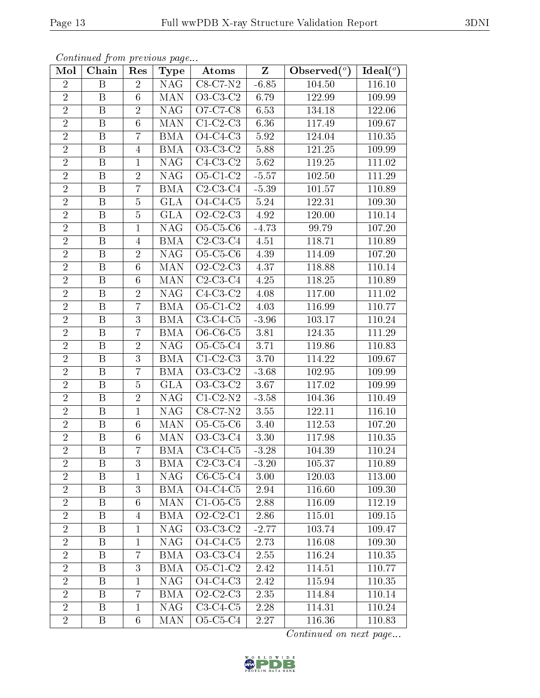| Mol            | Chain                   | Res             | Type       | Atoms                  | $Z_{-}$  | Observed $(°)$ | Ideal $(°)$ |
|----------------|-------------------------|-----------------|------------|------------------------|----------|----------------|-------------|
| $\overline{2}$ | B                       | $\overline{2}$  | <b>NAG</b> | $C8-C7-N2$             | $-6.85$  | 104.50         | 116.10      |
| $\overline{2}$ | $\boldsymbol{B}$        | $6\phantom{.}6$ | <b>MAN</b> | O3-C3-C2               | 6.79     | 122.99         | 109.99      |
| $\overline{2}$ | B                       | $\sqrt{2}$      | NAG.       | O7-C7-C8               | 6.53     | 134.18         | 122.06      |
| $\overline{2}$ | B                       | $6\phantom{.}$  | MAN.       | $C1-C2-C3$             | 6.36     | 117.49         | 109.67      |
| $\overline{2}$ | $\, {\bf B}$            | $\overline{7}$  | <b>BMA</b> | $\overline{O4-C4-C3}$  | 5.92     | 124.04         | 110.35      |
| $\overline{2}$ | B                       | $\overline{4}$  | <b>BMA</b> | $O3-C3-C2$             | 5.88     | 121.25         | 109.99      |
| $\overline{2}$ | $\boldsymbol{B}$        | $\mathbf{1}$    | NAG.       | $C4-C3-C2$             | $5.62\,$ | 119.25         | 111.02      |
| $\overline{2}$ | B                       | $\overline{2}$  | NAG.       | $O5-C1-C2$             | $-5.57$  | $102.50\,$     | 111.29      |
| $\overline{2}$ | $\boldsymbol{B}$        | $\overline{7}$  | <b>BMA</b> | $C2-C3-C4$             | $-5.39$  | 101.57         | 110.89      |
| $\overline{2}$ | $\boldsymbol{B}$        | $\overline{5}$  | <b>GLA</b> | $O4-C4-C5$             | 5.24     | 122.31         | 109.30      |
| $\overline{2}$ | $\, {\bf B}$            | $\overline{5}$  | <b>GLA</b> | $O2-C2-C3$             | 4.92     | 120.00         | 110.14      |
| $\overline{2}$ | B                       | $\mathbf{1}$    | <b>NAG</b> | $O5-C5-C6$             | $-4.73$  | 99.79          | 107.20      |
| $\overline{2}$ | $\, {\bf B}$            | $\overline{4}$  | <b>BMA</b> | $C2-C3-C4$             | 4.51     | 118.71         | 110.89      |
| $\overline{2}$ | $\, {\bf B}$            | $\overline{2}$  | <b>NAG</b> | $O5-C5-C6$             | 4.39     | 114.09         | 107.20      |
| $\overline{2}$ | $\overline{\mathbf{B}}$ | $6\phantom{.}6$ | <b>MAN</b> | $O2-C2-C3$             | 4.37     | 118.88         | 110.14      |
| $\sqrt{2}$     | B                       | 6               | <b>MAN</b> | $C2-C3-C4$             | 4.25     | 118.25         | 110.89      |
| $\overline{2}$ | $\boldsymbol{B}$        | $\overline{2}$  | <b>NAG</b> | $C4-C3-C2$             | 4.08     | 117.00         | 111.02      |
| $\overline{2}$ | B                       | $\overline{7}$  | <b>BMA</b> | $O5-C1-C2$             | 4.03     | 116.99         | 110.77      |
| $\overline{2}$ | $\boldsymbol{B}$        | 3               | <b>BMA</b> | $C3-C4-C5$             | $-3.96$  | 103.17         | 110.24      |
| $\overline{2}$ | B                       | $\overline{7}$  | <b>BMA</b> | $O6-C6-C5$             | 3.81     | 124.35         | 111.29      |
| $\overline{2}$ | $\boldsymbol{B}$        | $\overline{2}$  | <b>NAG</b> | O5-C5-C4               | 3.71     | 119.86         | 110.83      |
| $\overline{2}$ | B                       | 3               | <b>BMA</b> | $C1-C2-C3$             | 3.70     | 114.22         | 109.67      |
| $\overline{2}$ | $\boldsymbol{B}$        | $\overline{7}$  | <b>BMA</b> | $O3-C3-C2$             | $-3.68$  | 102.95         | 109.99      |
| $\overline{2}$ | $\overline{\mathrm{B}}$ | $\overline{5}$  | <b>GLA</b> | $O3-C3-C2$             | 3.67     | 117.02         | 109.99      |
| $\overline{2}$ | B                       | $\overline{2}$  | NAG        | $C1-C2-N2$             | $-3.58$  | 104.36         | 110.49      |
| $\sqrt{2}$     | B                       | $\mathbf{1}$    | NAG        | $C8-C7-N2$             | 3.55     | 122.11         | 116.10      |
| $\overline{2}$ | B                       | 6               | MAN        | $O5-C5-C6$             | 3.40     | 112.53         | 107.20      |
| $\overline{2}$ | $\boldsymbol{B}$        | $6\phantom{.}6$ | <b>MAN</b> | O3-C3-C4               | $3.30\,$ | 117.98         | 110.35      |
| $\overline{2}$ | $\boldsymbol{B}$        | $\overline{7}$  | <b>BMA</b> | $C3-C4-C5$             | $-3.28$  | 104.39         | 110.24      |
| $\overline{2}$ | B                       | 3               | BMA        | $C2-C3-C4$             | $-3.20$  | 105.37         | 110.89      |
| $\overline{2}$ | B                       | 1               | NAG.       | $C6-C5-C4$             | 3.00     | 120.03         | 113.00      |
| $\overline{2}$ | $\mathbf{B}$            | 3               | <b>BMA</b> | $O4-C4-C5$             | 2.94     | 116.60         | 109.30      |
| $\overline{2}$ | B                       | 6               | <b>MAN</b> | $C1-O5-C5$             | 2.88     | 116.09         | 112.19      |
| $\overline{2}$ | $\overline{B}$          | $\overline{4}$  | <b>BMA</b> | $Q2-C2-C1$             | 2.86     | 115.01         | 109.15      |
| $\overline{2}$ | B                       | 1               | NAG.       | $O3-C3-C2$             | $-2.77$  | 103.74         | 109.47      |
| $\overline{2}$ | B                       | $\mathbf{1}$    | NAG.       | $O4-C4-C5$             | 2.73     | 116.08         | 109.30      |
| $\overline{2}$ | B                       | $\overline{7}$  | <b>BMA</b> | $O3-C3-C4$             | 2.55     | 116.24         | 110.35      |
| $\overline{2}$ | B                       | 3               | <b>BMA</b> | $O5-C1-C2$             | 2.42     | 114.51         | 110.77      |
| $\sqrt{2}$     | B                       | $\mathbf{1}$    | NAG.       | $O4-C4-C3$             | 2.42     | 115.94         | 110.35      |
| $\overline{2}$ | B                       | $\overline{7}$  | <b>BMA</b> | $\overline{O2}$ -C2-C3 | 2.35     | 114.84         | 110.14      |
| $\overline{2}$ | B                       | $\mathbf{1}$    | NAG.       | $C3-C4-C5$             | 2.28     | 114.31         | 110.24      |
| $\overline{2}$ | B                       | 6               | MAN        | O5-C5-C4               | $2.27\,$ | 116.36         | 110.83      |

Continued from previous page...

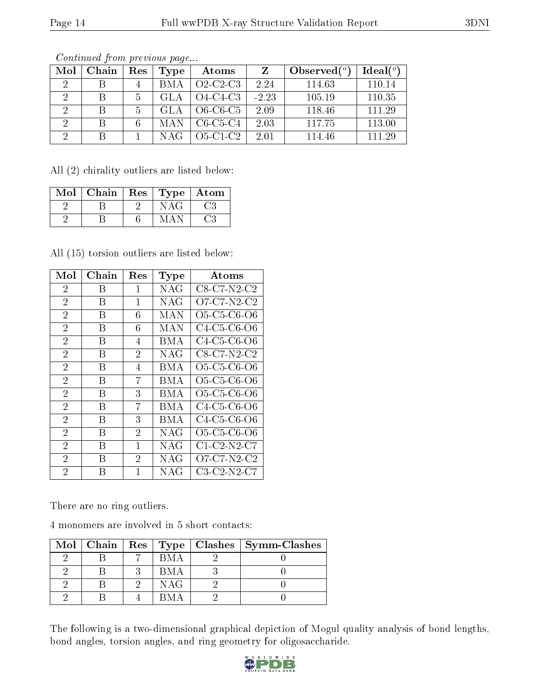| Mol           | Chain | Res | Type       | Atoms      |         | Observed $(°)$ | Ideal(°) |
|---------------|-------|-----|------------|------------|---------|----------------|----------|
|               |       | 4   | <b>BMA</b> | $O2-C2-C3$ | 2.24    | 114.63         | 110.14   |
|               | В     | 5   | GL A       | $O4-C4-C3$ | $-2.23$ | 105.19         | 110.35   |
| 2             |       | 5   | GL A       | $O6-C6-C5$ | 2.09    | 118.46         | 111.29   |
| $\mathcal{D}$ | В     | 6   | MAN        | $C6-C5-C4$ | 2.03    | 117.75         | 113.00   |
| റ             |       |     |            | $O5-C1-C2$ | 2.01    | 114.46         | 111.29   |

Continued from previous page...

All (2) chirality outliers are listed below:

| Mol | Chain | Res | Type   Atom |     |
|-----|-------|-----|-------------|-----|
|     |       |     | NAG         | ි.3 |
|     |       |     | MΔ          | ر?  |

All (15) torsion outliers are listed below:

| Mol            | Chain | $\operatorname{Res}% \left( \mathcal{N}\right) \equiv\operatorname{Res}(\mathcal{N}_{0},\mathcal{N}_{0})$ | Type         | Atoms                                                          |
|----------------|-------|-----------------------------------------------------------------------------------------------------------|--------------|----------------------------------------------------------------|
| 2              | В     | 1                                                                                                         | NAG          | C8-C7-N2-C2                                                    |
| $\overline{2}$ | В     | 1                                                                                                         | NAG          | O7-C7-N2-C2                                                    |
| $\overline{2}$ | В     | 6                                                                                                         | MAN          | O <sub>5</sub> -C <sub>5</sub> -C <sub>6</sub> -O <sub>6</sub> |
| $\overline{2}$ | В     | 6                                                                                                         | MAN          | C4-C5-C6-O6                                                    |
| $\overline{2}$ | В     | 4                                                                                                         | BMA          | C4-C5-C6-O6                                                    |
| $\overline{2}$ | В     | $\overline{2}$                                                                                            | NAG          | $C8-C7-N2-C2$                                                  |
| $\overline{2}$ | В     | 4                                                                                                         | BMA          | O5-C5-C6-O6                                                    |
| $\overline{2}$ | В     | 7                                                                                                         | BMA          | O <sub>5</sub> -C <sub>5</sub> -C <sub>6</sub> -O <sub>6</sub> |
| $\overline{2}$ | В     | 3                                                                                                         | BM A         | O5-C5-C6-O6                                                    |
| $\overline{2}$ | В     | 7                                                                                                         | BMA          | C <sub>4</sub> -C <sub>5</sub> -C <sub>6</sub> -O <sub>6</sub> |
| $\overline{2}$ | В     | 3                                                                                                         | BMA          | C <sub>4</sub> -C <sub>5</sub> -C <sub>6</sub> -O <sub>6</sub> |
| $\overline{2}$ | В     | 2                                                                                                         | NAG          | O <sub>5</sub> -C <sub>5</sub> -C <sub>6</sub> -O <sub>6</sub> |
| $\overline{2}$ | В     | 1                                                                                                         | NAG          | $C1-C2-N2-C7$                                                  |
| $\overline{2}$ | В     | $\overline{2}$                                                                                            | NAG          | O7-C7-N2-C2                                                    |
| $\overline{2}$ | В     | 1                                                                                                         | $_{\rm NAG}$ | $C3-C2-N2-C7$                                                  |

There are no ring outliers.

4 monomers are involved in 5 short contacts:

|  |      | Mol   Chain   Res   Type   Clashes   Symm-Clashes |
|--|------|---------------------------------------------------|
|  | RM A |                                                   |
|  | BM A |                                                   |
|  | NAG  |                                                   |
|  |      |                                                   |

The following is a two-dimensional graphical depiction of Mogul quality analysis of bond lengths, bond angles, torsion angles, and ring geometry for oligosaccharide.

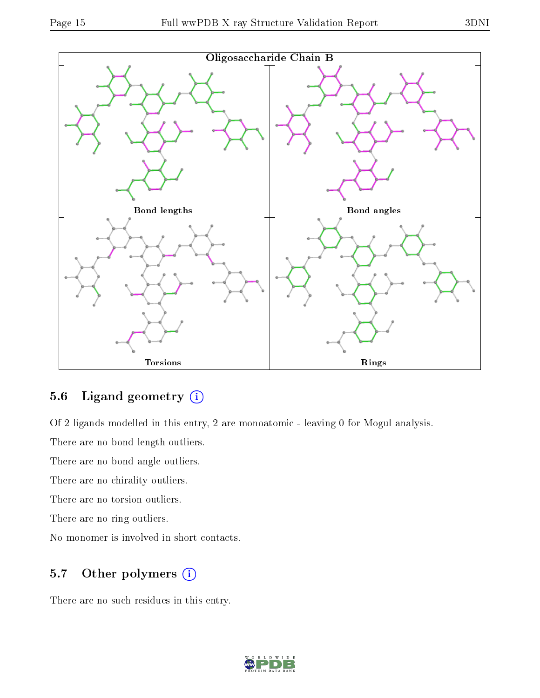

### 5.6 Ligand geometry  $(i)$

Of 2 ligands modelled in this entry, 2 are monoatomic - leaving 0 for Mogul analysis.

There are no bond length outliers.

There are no bond angle outliers.

There are no chirality outliers.

There are no torsion outliers.

There are no ring outliers.

No monomer is involved in short contacts.

### 5.7 [O](https://www.wwpdb.org/validation/2017/XrayValidationReportHelp#nonstandard_residues_and_ligands)ther polymers  $(i)$

There are no such residues in this entry.

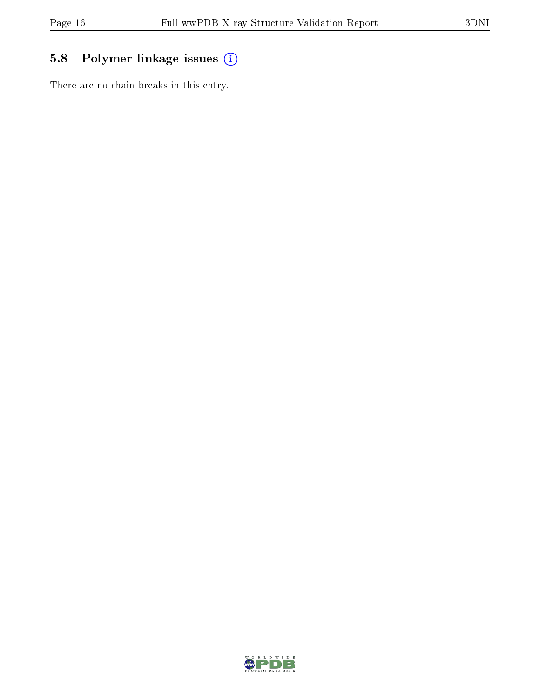## 5.8 Polymer linkage issues (i)

There are no chain breaks in this entry.